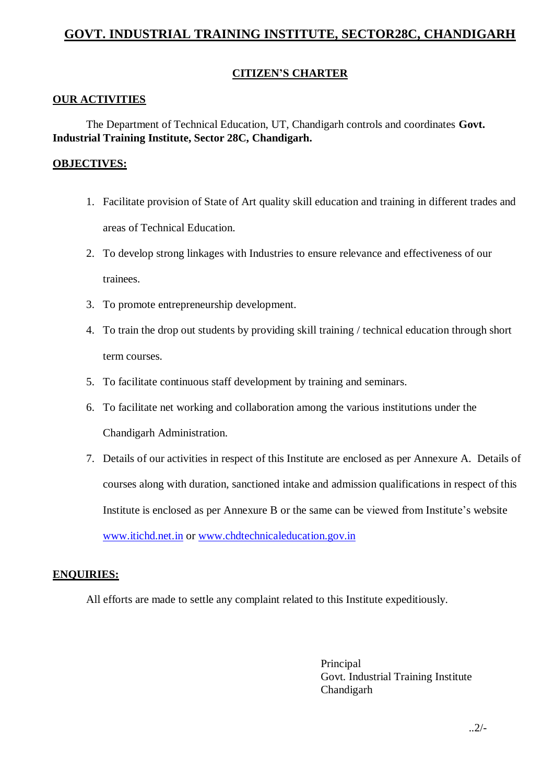# **GOVT. INDUSTRIAL TRAINING INSTITUTE, SECTOR28C, CHANDIGARH**

# **CITIZEN'S CHARTER**

#### **OUR ACTIVITIES**

The Department of Technical Education, UT, Chandigarh controls and coordinates **Govt. Industrial Training Institute, Sector 28C, Chandigarh.**

#### **OBJECTIVES:**

- 1. Facilitate provision of State of Art quality skill education and training in different trades and areas of Technical Education.
- 2. To develop strong linkages with Industries to ensure relevance and effectiveness of our trainees.
- 3. To promote entrepreneurship development.
- 4. To train the drop out students by providing skill training / technical education through short term courses.
- 5. To facilitate continuous staff development by training and seminars.
- 6. To facilitate net working and collaboration among the various institutions under the Chandigarh Administration.
- 7. Details of our activities in respect of this Institute are enclosed as per Annexure A. Details of courses along with duration, sanctioned intake and admission qualifications in respect of this Institute is enclosed as per Annexure B or the same can be viewed from Institute's website [www.itichd.net.in](http://www.itichd.net.in/) or [www.chdtechnicaleducation.gov.in](http://www.chdtechnicaleducation.gov.in/)

#### **ENQUIRIES:**

All efforts are made to settle any complaint related to this Institute expeditiously.

Principal Govt. Industrial Training Institute Chandigarh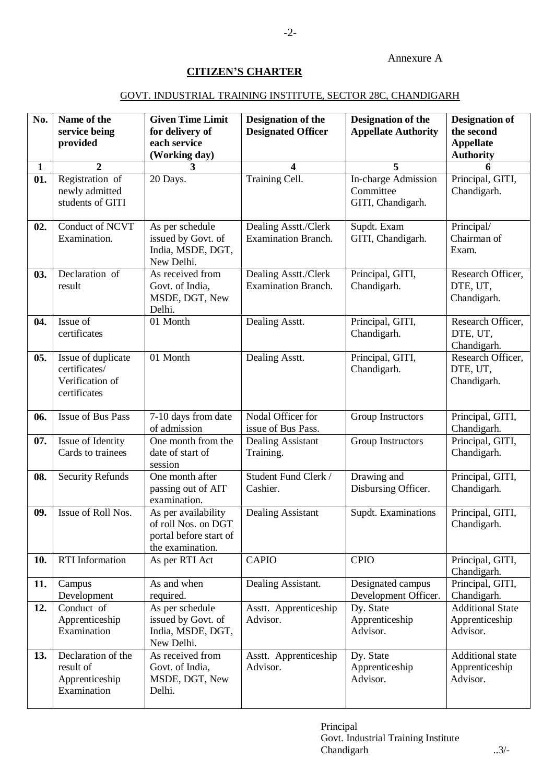### **CITIZEN'S CHARTER**

### GOVT. INDUSTRIAL TRAINING INSTITUTE, SECTOR 28C, CHANDIGARH

| No. | Name of the<br>service being<br>provided                               | <b>Given Time Limit</b><br>for delivery of<br>each service<br>(Working day)              | Designation of the<br><b>Designated Officer</b>    | <b>Designation of the</b><br><b>Appellate Authority</b> | <b>Designation of</b><br>the second<br><b>Appellate</b><br><b>Authority</b> |
|-----|------------------------------------------------------------------------|------------------------------------------------------------------------------------------|----------------------------------------------------|---------------------------------------------------------|-----------------------------------------------------------------------------|
| 1   | $\boldsymbol{2}$                                                       | 3                                                                                        | 4                                                  | 5                                                       | 6                                                                           |
| 01. | Registration of<br>newly admitted<br>students of GITI                  | 20 Days.                                                                                 | Training Cell.                                     | In-charge Admission<br>Committee<br>GITI, Chandigarh.   | Principal, GITI,<br>Chandigarh.                                             |
| 02. | Conduct of NCVT<br>Examination.                                        | As per schedule<br>issued by Govt. of<br>India, MSDE, DGT,<br>New Delhi.                 | Dealing Asstt./Clerk<br><b>Examination Branch.</b> | Supdt. Exam<br>GITI, Chandigarh.                        | Principal/<br>Chairman of<br>Exam.                                          |
| 03. | Declaration of<br>result                                               | As received from<br>Govt. of India,<br>MSDE, DGT, New<br>Delhi.                          | Dealing Asstt./Clerk<br><b>Examination Branch.</b> | Principal, GITI,<br>Chandigarh.                         | Research Officer,<br>DTE, UT,<br>Chandigarh.                                |
| 04. | Issue of<br>certificates                                               | 01 Month                                                                                 | Dealing Asstt.                                     | Principal, GITI,<br>Chandigarh.                         | Research Officer,<br>DTE, UT,<br>Chandigarh.                                |
| 05. | Issue of duplicate<br>certificates/<br>Verification of<br>certificates | 01 Month                                                                                 | Dealing Asstt.                                     | Principal, GITI,<br>Chandigarh.                         | Research Officer,<br>DTE, UT,<br>Chandigarh.                                |
| 06. | <b>Issue of Bus Pass</b>                                               | 7-10 days from date<br>of admission                                                      | Nodal Officer for<br>issue of Bus Pass.            | Group Instructors                                       | Principal, GITI,<br>Chandigarh.                                             |
| 07. | Issue of Identity<br>Cards to trainees                                 | One month from the<br>date of start of<br>session                                        | Dealing Assistant<br>Training.                     | Group Instructors                                       | Principal, GITI,<br>Chandigarh.                                             |
| 08. | Security Refunds                                                       | One month after<br>passing out of AIT<br>examination.                                    | Student Fund Clerk /<br>Cashier.                   | Drawing and<br>Disbursing Officer.                      | Principal, GITI,<br>Chandigarh.                                             |
| 09. | Issue of Roll Nos.                                                     | As per availability<br>of roll Nos. on DGT<br>portal before start of<br>the examination. | Dealing Assistant                                  | Supdt. Examinations                                     | Principal, GITI,<br>Chandigarh.                                             |
| 10. | <b>RTI</b> Information                                                 | As per RTI Act                                                                           | <b>CAPIO</b>                                       | <b>CPIO</b>                                             | Principal, GITI,<br>Chandigarh.                                             |
| 11. | Campus<br>Development                                                  | As and when<br>required.                                                                 | Dealing Assistant.                                 | Designated campus<br>Development Officer.               | Principal, GITI,<br>Chandigarh.                                             |
| 12. | Conduct of<br>Apprenticeship<br>Examination                            | As per schedule<br>issued by Govt. of<br>India, MSDE, DGT,<br>New Delhi.                 | Asstt. Apprenticeship<br>Advisor.                  | Dy. State<br>Apprenticeship<br>Advisor.                 | <b>Additional State</b><br>Apprenticeship<br>Advisor.                       |
| 13. | Declaration of the<br>result of<br>Apprenticeship<br>Examination       | As received from<br>Govt. of India,<br>MSDE, DGT, New<br>Delhi.                          | Asstt. Apprenticeship<br>Advisor.                  | Dy. State<br>Apprenticeship<br>Advisor.                 | Additional state<br>Apprenticeship<br>Advisor.                              |